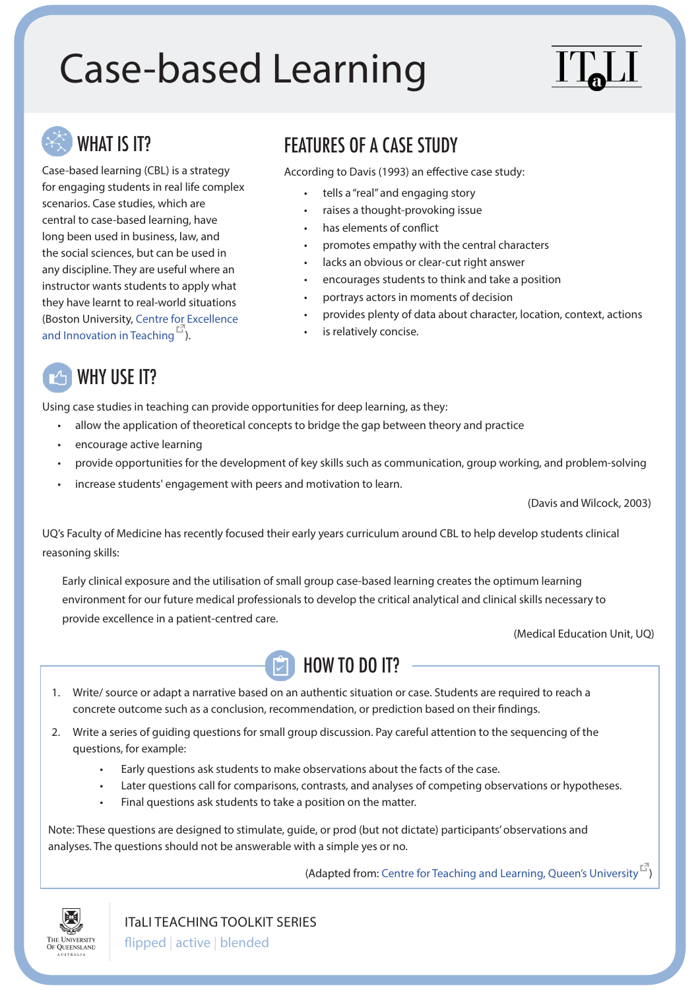# Case-based Learning



for engaging students in real life complex<br>
scenarios. Case studies, which are • raises a thought-provoking issue<br>
central to case-based learning, have • has elements of conflict long been used in business, law, and<br>the social sciences, but can be used in<br>any discipline. They are useful where an<br>instructor wants students to apply what<br>instructor wants students to apply what<br> $\cdot$  encourages students they have learnt to real-world situations **\*** portrays actors in moments of decision (Boston University, [Centre for Excellence](http://www.bu.edu/ceit/teaching-resources/in-the-classroom/using-case-studies-to-teach/)  $\cdot$  provides plenty of data about character, location, context, actions and Innovation in Teaching  $\overline{E}$ [and Innovation in Teaching](http://www.bu.edu/ceit/teaching-resources/in-the-classroom/using-case-studies-to-teach/)<sup>[13]</sup>).

## WHAT IS IT? FEATURES OF A CASE STUDY

Case-based learning (CBL) is a strategy According to Davis (1993) an effective case study:

- 
- 
- 
- 
- 
- 
- 
- 
- 



Using case studies in teaching can provide opportunities for deep learning, as they:

- allow the application of theoretical concepts to bridge the gap between theory and practice
- encourage active learning
- provide opportunities for the development of key skills such as communication, group working, and problem-solving
- increase students' engagement with peers and motivation to learn.

(Davis and Wilcock, 2003)

UQ's Faculty of Medicine has recently focused their early years curriculum around CBL to help develop students clinical reasoning skills:

Early clinical exposure and the utilisation of small group case-based learning creates the optimum learning environment for our future medical professionals to develop the critical analytical and clinical skills necessary to provide excellence in a patient-centred care.

(Medical Education Unit, UQ)



- 1. Write/ source or adapt a narrative based on an authentic situation or case. Students are required to reach a concrete outcome such as a conclusion, recommendation, or prediction based on their findings.
- 2. Write a series of guiding questions for small group discussion. Pay careful attention to the sequencing of the questions, for example:
	- Early questions ask students to make observations about the facts of the case.
	- Later questions call for comparisons, contrasts, and analyses of competing observations or hypotheses.
	- Final questions ask students to take a position on the matter.

Note: These questions are designed to stimulate, guide, or prod (but not dictate) participants' observations and analyses. The questions should not be answerable with a simple yes or no.

(Adapted from: [Centre for Teaching and Learning, Queen's University](http://www.queensu.ca/ctl/what-we-do/teaching-and-assessment-strategies/case-based-learning)  $\vec{F}$ )



ITaLI TEACHING TOOLKIT SERIES

flipped | active | blended